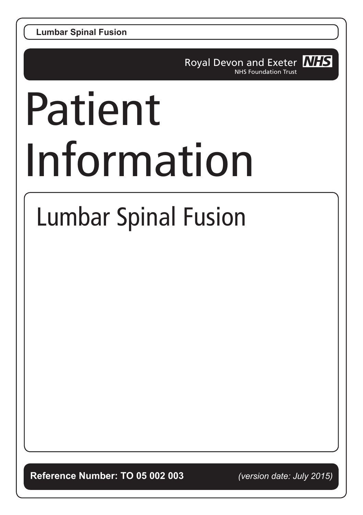**Lumbar Spinal Fusion**

Royal Devon and Exeter **NHS NHS Foundation Trust** 

# Patient Information

## Lumbar Spinal Fusion

**Reference Number: TO 05 002 003** *(version date: July 2015)*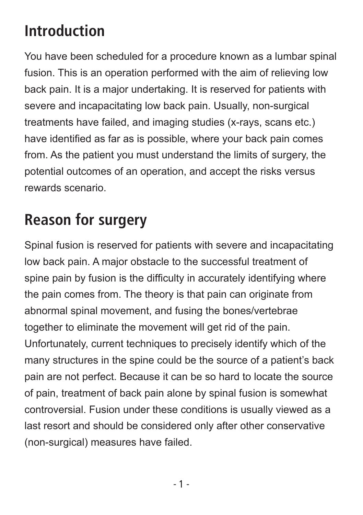#### **Introduction**

You have been scheduled for a procedure known as a lumbar spinal fusion. This is an operation performed with the aim of relieving low back pain. It is a major undertaking. It is reserved for patients with severe and incapacitating low back pain. Usually, non-surgical treatments have failed, and imaging studies (x-rays, scans etc.) have identified as far as is possible, where your back pain comes from. As the patient you must understand the limits of surgery, the potential outcomes of an operation, and accept the risks versus rewards scenario.

#### **Reason for surgery**

Spinal fusion is reserved for patients with severe and incapacitating low back pain. A major obstacle to the successful treatment of spine pain by fusion is the difficulty in accurately identifying where the pain comes from. The theory is that pain can originate from abnormal spinal movement, and fusing the bones/vertebrae together to eliminate the movement will get rid of the pain. Unfortunately, current techniques to precisely identify which of the many structures in the spine could be the source of a patient's back pain are not perfect. Because it can be so hard to locate the source of pain, treatment of back pain alone by spinal fusion is somewhat controversial. Fusion under these conditions is usually viewed as a last resort and should be considered only after other conservative (non-surgical) measures have failed.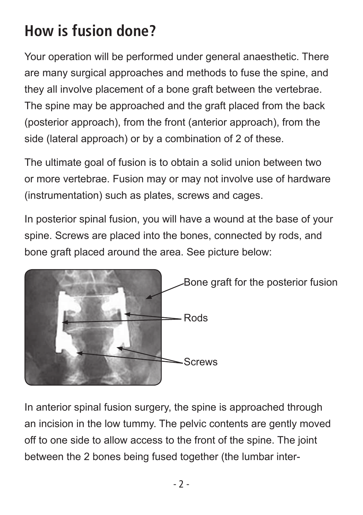#### **How is fusion done?**

Your operation will be performed under general anaesthetic. There are many surgical approaches and methods to fuse the spine, and they all involve placement of a bone graft between the vertebrae. The spine may be approached and the graft placed from the back (posterior approach), from the front (anterior approach), from the side (lateral approach) or by a combination of 2 of these.

The ultimate goal of fusion is to obtain a solid union between two or more vertebrae. Fusion may or may not involve use of hardware (instrumentation) such as plates, screws and cages.

In posterior spinal fusion, you will have a wound at the base of your spine. Screws are placed into the bones, connected by rods, and bone graft placed around the area. See picture below:



In anterior spinal fusion surgery, the spine is approached through an incision in the low tummy. The pelvic contents are gently moved off to one side to allow access to the front of the spine. The joint between the 2 bones being fused together (the lumbar inter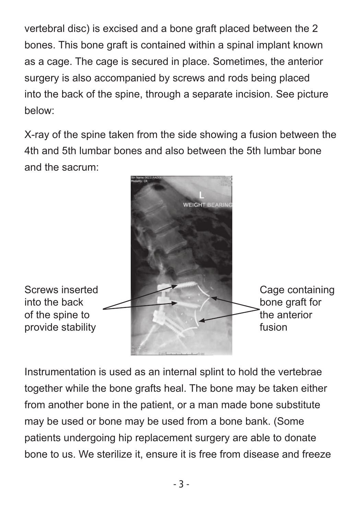vertebral disc) is excised and a bone graft placed between the 2 bones. This bone graft is contained within a spinal implant known as a cage. The cage is secured in place. Sometimes, the anterior surgery is also accompanied by screws and rods being placed into the back of the spine, through a separate incision. See picture below:

X-ray of the spine taken from the side showing a fusion between the 4th and 5th lumbar bones and also between the 5th lumbar bone and the sacrum:



Instrumentation is used as an internal splint to hold the vertebrae together while the bone grafts heal. The bone may be taken either from another bone in the patient, or a man made bone substitute may be used or bone may be used from a bone bank. (Some patients undergoing hip replacement surgery are able to donate bone to us. We sterilize it, ensure it is free from disease and freeze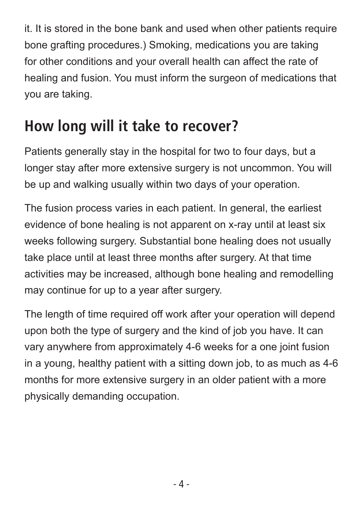it. It is stored in the bone bank and used when other patients require bone grafting procedures.) Smoking, medications you are taking for other conditions and your overall health can affect the rate of healing and fusion. You must inform the surgeon of medications that you are taking.

#### **How long will it take to recover?**

Patients generally stay in the hospital for two to four days, but a longer stay after more extensive surgery is not uncommon. You will be up and walking usually within two days of your operation.

The fusion process varies in each patient. In general, the earliest evidence of bone healing is not apparent on x-ray until at least six weeks following surgery. Substantial bone healing does not usually take place until at least three months after surgery. At that time activities may be increased, although bone healing and remodelling may continue for up to a year after surgery.

The length of time required off work after your operation will depend upon both the type of surgery and the kind of job you have. It can vary anywhere from approximately 4-6 weeks for a one joint fusion in a young, healthy patient with a sitting down job, to as much as 4-6 months for more extensive surgery in an older patient with a more physically demanding occupation.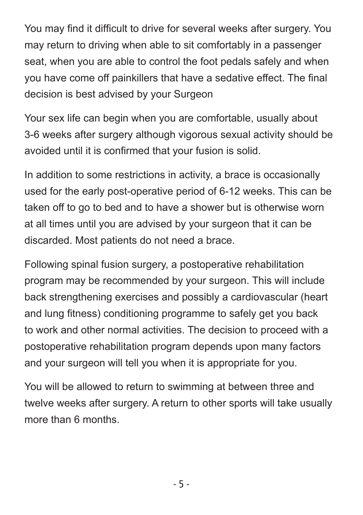You may find it difficult to drive for several weeks after surgery. You may return to driving when able to sit comfortably in a passenger seat, when you are able to control the foot pedals safely and when you have come off painkillers that have a sedative effect. The final decision is best advised by your Surgeon

Your sex life can begin when you are comfortable, usually about 3-6 weeks after surgery although vigorous sexual activity should be avoided until it is confirmed that your fusion is solid.

In addition to some restrictions in activity, a brace is occasionally used for the early post-operative period of 6-12 weeks. This can be taken off to go to bed and to have a shower but is otherwise worn at all times until you are advised by your surgeon that it can be discarded. Most patients do not need a brace.

Following spinal fusion surgery, a postoperative rehabilitation program may be recommended by your surgeon. This will include back strengthening exercises and possibly a cardiovascular (heart and lung fitness) conditioning programme to safely get you back to work and other normal activities. The decision to proceed with a postoperative rehabilitation program depends upon many factors and your surgeon will tell you when it is appropriate for you.

You will be allowed to return to swimming at between three and twelve weeks after surgery. A return to other sports will take usually more than 6 months.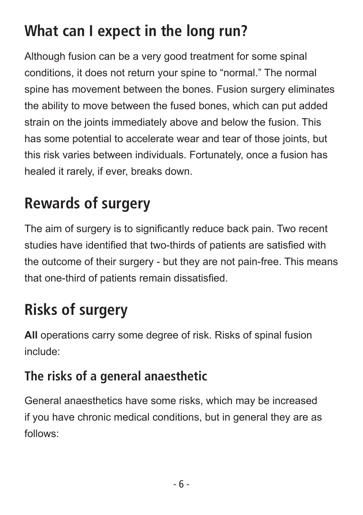#### **What can I expect in the long run?**

Although fusion can be a very good treatment for some spinal conditions, it does not return your spine to "normal." The normal spine has movement between the bones. Fusion surgery eliminates the ability to move between the fused bones, which can put added strain on the joints immediately above and below the fusion. This has some potential to accelerate wear and tear of those joints, but this risk varies between individuals. Fortunately, once a fusion has healed it rarely, if ever, breaks down.

### **Rewards of surgery**

The aim of surgery is to significantly reduce back pain. Two recent studies have identified that two-thirds of patients are satisfied with the outcome of their surgery - but they are not pain-free. This means that one-third of patients remain dissatisfied.

#### **Risks of surgery**

**All** operations carry some degree of risk. Risks of spinal fusion include:

#### **The risks of a general anaesthetic**

General anaesthetics have some risks, which may be increased if you have chronic medical conditions, but in general they are as follows: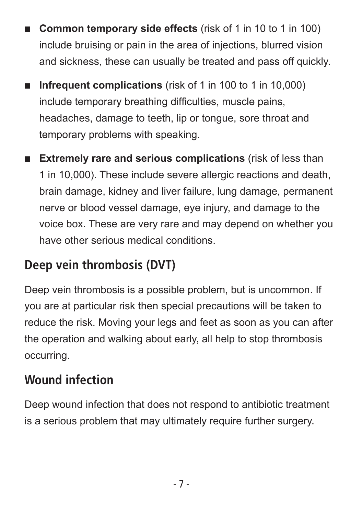- **Common temporary side effects** (risk of 1 in 10 to 1 in 100) include bruising or pain in the area of injections, blurred vision and sickness, these can usually be treated and pass off quickly.
- **n** Infrequent complications (risk of 1 in 100 to 1 in 10,000) include temporary breathing difficulties, muscle pains, headaches, damage to teeth, lip or tongue, sore throat and temporary problems with speaking.
- **Extremely rare and serious complications** (risk of less than 1 in 10,000). These include severe allergic reactions and death, brain damage, kidney and liver failure, lung damage, permanent nerve or blood vessel damage, eye injury, and damage to the voice box. These are very rare and may depend on whether you have other serious medical conditions.

#### **Deep vein thrombosis (DVT)**

Deep vein thrombosis is a possible problem, but is uncommon. If you are at particular risk then special precautions will be taken to reduce the risk. Moving your legs and feet as soon as you can after the operation and walking about early, all help to stop thrombosis occurring.

#### **Wound infection**

Deep wound infection that does not respond to antibiotic treatment is a serious problem that may ultimately require further surgery.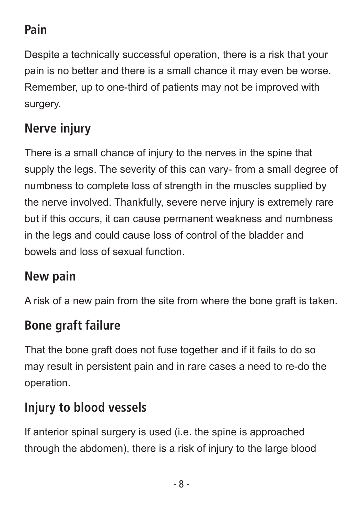#### **Pain**

Despite a technically successful operation, there is a risk that your pain is no better and there is a small chance it may even be worse. Remember, up to one-third of patients may not be improved with surgery.

#### **Nerve injury**

There is a small chance of injury to the nerves in the spine that supply the legs. The severity of this can vary- from a small degree of numbness to complete loss of strength in the muscles supplied by the nerve involved. Thankfully, severe nerve injury is extremely rare but if this occurs, it can cause permanent weakness and numbness in the legs and could cause loss of control of the bladder and bowels and loss of sexual function.

#### **New pain**

A risk of a new pain from the site from where the bone graft is taken.

#### **Bone graft failure**

That the bone graft does not fuse together and if it fails to do so may result in persistent pain and in rare cases a need to re-do the operation.

#### **Injury to blood vessels**

If anterior spinal surgery is used (i.e. the spine is approached through the abdomen), there is a risk of injury to the large blood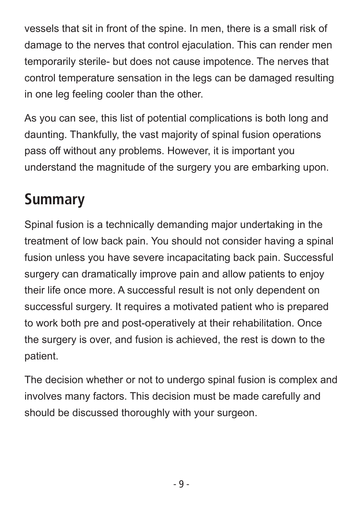vessels that sit in front of the spine. In men, there is a small risk of damage to the nerves that control ejaculation. This can render men temporarily sterile- but does not cause impotence. The nerves that control temperature sensation in the legs can be damaged resulting in one leg feeling cooler than the other.

As you can see, this list of potential complications is both long and daunting. Thankfully, the vast majority of spinal fusion operations pass off without any problems. However, it is important you understand the magnitude of the surgery you are embarking upon.

#### **Summary**

Spinal fusion is a technically demanding major undertaking in the treatment of low back pain. You should not consider having a spinal fusion unless you have severe incapacitating back pain. Successful surgery can dramatically improve pain and allow patients to enjoy their life once more. A successful result is not only dependent on successful surgery. It requires a motivated patient who is prepared to work both pre and post-operatively at their rehabilitation. Once the surgery is over, and fusion is achieved, the rest is down to the patient.

The decision whether or not to undergo spinal fusion is complex and involves many factors. This decision must be made carefully and should be discussed thoroughly with your surgeon.